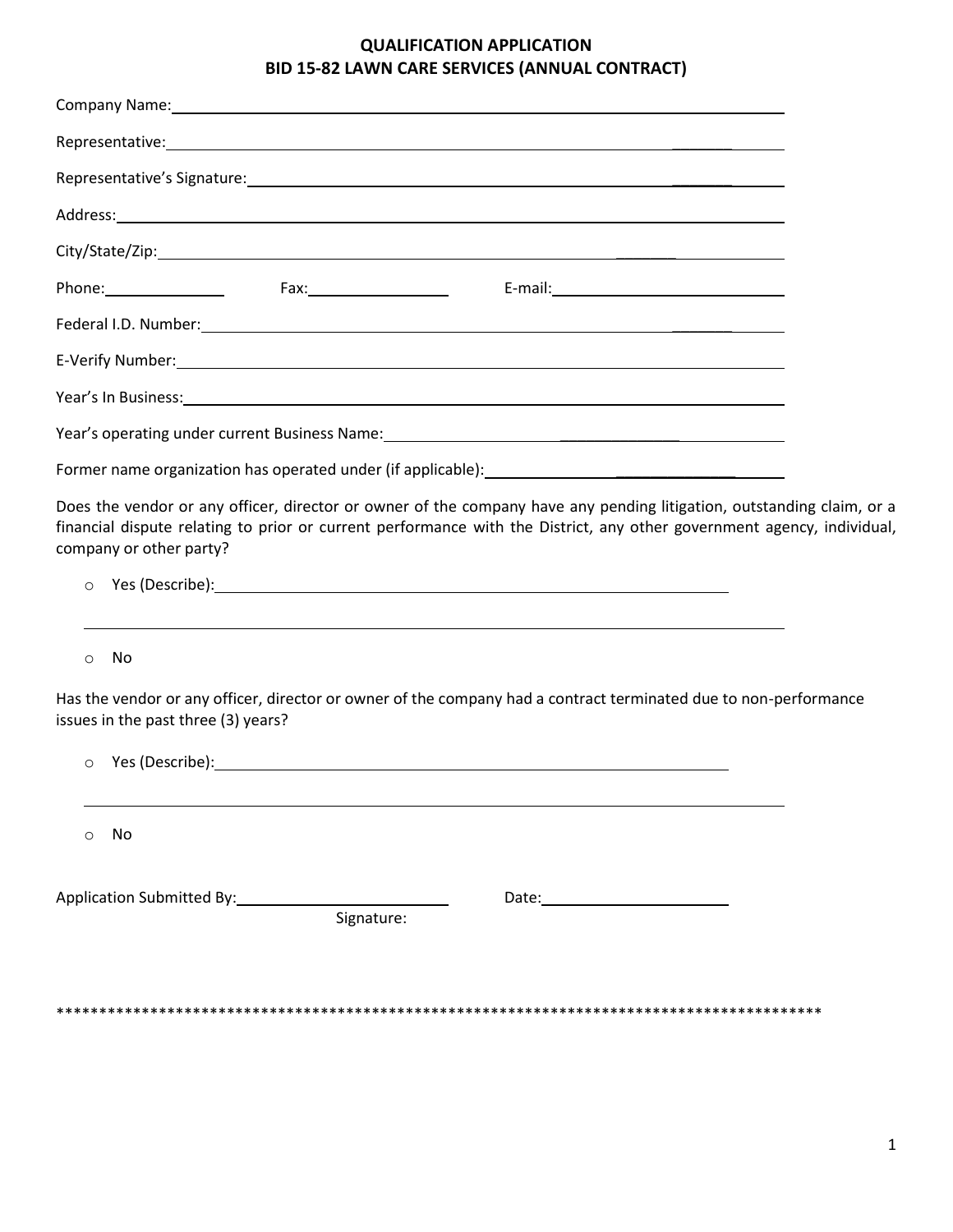## **QUALIFICATION APPLICATION BID 15-82 LAWN CARE SERVICES (ANNUAL CONTRACT)**

| Company Name: 1990 Company Name: 1990 Company Name: 1990 Company Name: 1990 Company Name: 1990 Company Name: 1                                                                                                                                                                        |  |
|---------------------------------------------------------------------------------------------------------------------------------------------------------------------------------------------------------------------------------------------------------------------------------------|--|
| Representative: 1999 and 2009 and 2009 and 2009 and 2009 and 2009 and 2009 and 2009 and 2009 and 2009 and 2009                                                                                                                                                                        |  |
| Representative's Signature: example and the set of the set of the set of the set of the set of the set of the                                                                                                                                                                         |  |
|                                                                                                                                                                                                                                                                                       |  |
|                                                                                                                                                                                                                                                                                       |  |
|                                                                                                                                                                                                                                                                                       |  |
|                                                                                                                                                                                                                                                                                       |  |
|                                                                                                                                                                                                                                                                                       |  |
| Year's In Business: New York Contract Contract Contract Contract Contract Contract Contract Contract Contract Contract Contract Contract Contract Contract Contract Contract Contract Contract Contract Contract Contract Cont                                                        |  |
|                                                                                                                                                                                                                                                                                       |  |
|                                                                                                                                                                                                                                                                                       |  |
| Does the vendor or any officer, director or owner of the company have any pending litigation, outstanding claim, or a<br>financial dispute relating to prior or current performance with the District, any other government agency, individual,<br>company or other party?<br>$\circ$ |  |
| No<br>$\circ$                                                                                                                                                                                                                                                                         |  |
| Has the vendor or any officer, director or owner of the company had a contract terminated due to non-performance<br>issues in the past three (3) years?                                                                                                                               |  |
| $\circ$                                                                                                                                                                                                                                                                               |  |
| No<br>O                                                                                                                                                                                                                                                                               |  |
| Application Submitted By:<br>Signature:                                                                                                                                                                                                                                               |  |

\*\*\*\*\*\*\*\*\*\*\*\*\*\*\*\*\*\*\*\*\*\*\*\*\*\*\*\*\*\*\*\*\*\*\*\*\*\*\*\*\*\*\*\*\*\*\*\*\*\*\*\*\*\*\*\*\*\*\*\*\*\*\*\*\*\*\*\*\*\*\*\*\*\*\*\*\*\*\*\*\*\*\*\*\*\*\*\*\*\*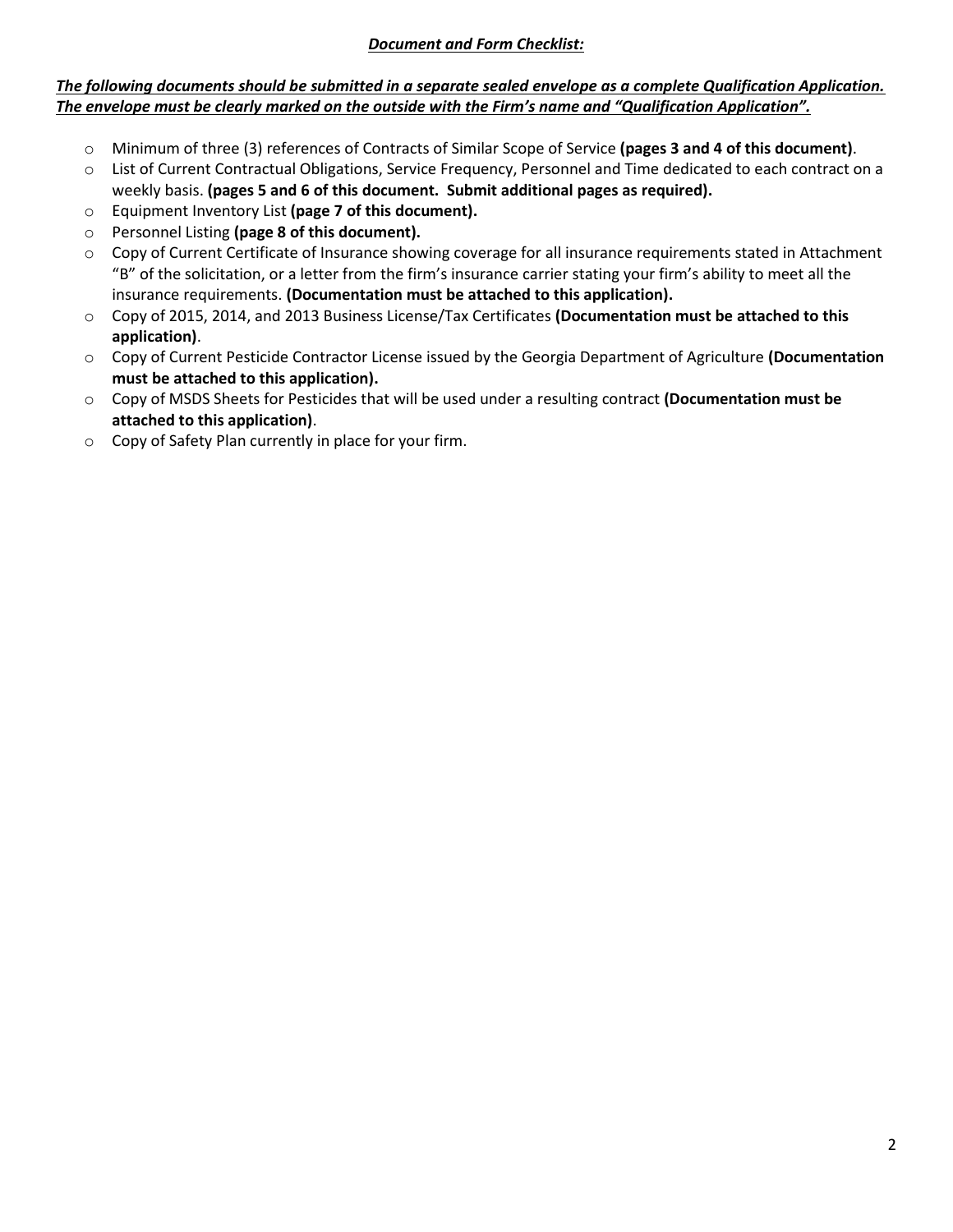#### *Document and Form Checklist:*

### *The following documents should be submitted in a separate sealed envelope as a complete Qualification Application. The envelope must be clearly marked on the outside with the Firm's name and "Qualification Application".*

- o Minimum of three (3) references of Contracts of Similar Scope of Service **(pages 3 and 4 of this document)**.
- o List of Current Contractual Obligations, Service Frequency, Personnel and Time dedicated to each contract on a weekly basis. **(pages 5 and 6 of this document. Submit additional pages as required).**
- o Equipment Inventory List **(page 7 of this document).**
- o Personnel Listing **(page 8 of this document).**
- o Copy of Current Certificate of Insurance showing coverage for all insurance requirements stated in Attachment "B" of the solicitation, or a letter from the firm's insurance carrier stating your firm's ability to meet all the insurance requirements. **(Documentation must be attached to this application).**
- o Copy of 2015, 2014, and 2013 Business License/Tax Certificates **(Documentation must be attached to this application)**.
- o Copy of Current Pesticide Contractor License issued by the Georgia Department of Agriculture **(Documentation must be attached to this application).**
- o Copy of MSDS Sheets for Pesticides that will be used under a resulting contract **(Documentation must be attached to this application)**.
- o Copy of Safety Plan currently in place for your firm.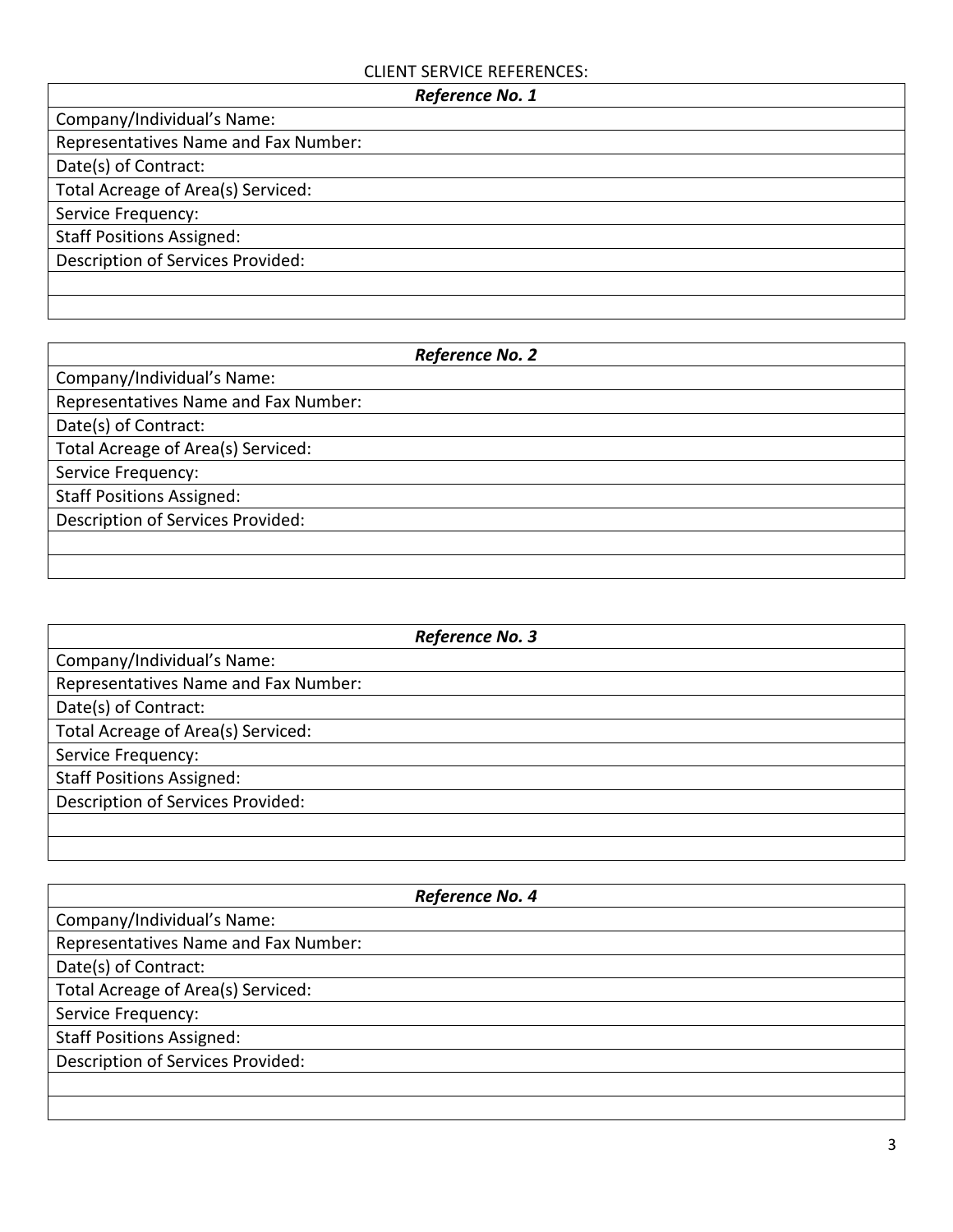### CLIENT SERVICE REFERENCES:

| Reference No. 1                      |  |  |
|--------------------------------------|--|--|
| Company/Individual's Name:           |  |  |
| Representatives Name and Fax Number: |  |  |
| Date(s) of Contract:                 |  |  |
| Total Acreage of Area(s) Serviced:   |  |  |
| Service Frequency:                   |  |  |
| <b>Staff Positions Assigned:</b>     |  |  |
| Description of Services Provided:    |  |  |
|                                      |  |  |
|                                      |  |  |

| Reference No. 2                      |  |
|--------------------------------------|--|
| Company/Individual's Name:           |  |
| Representatives Name and Fax Number: |  |
| Date(s) of Contract:                 |  |
| Total Acreage of Area(s) Serviced:   |  |
| Service Frequency:                   |  |
| <b>Staff Positions Assigned:</b>     |  |
| Description of Services Provided:    |  |
|                                      |  |
|                                      |  |

| Reference No. 3                      |  |
|--------------------------------------|--|
| Company/Individual's Name:           |  |
| Representatives Name and Fax Number: |  |
| Date(s) of Contract:                 |  |
| Total Acreage of Area(s) Serviced:   |  |
| Service Frequency:                   |  |
| <b>Staff Positions Assigned:</b>     |  |
| Description of Services Provided:    |  |
|                                      |  |
|                                      |  |

| Reference No. 4                      |  |
|--------------------------------------|--|
| Company/Individual's Name:           |  |
| Representatives Name and Fax Number: |  |
| Date(s) of Contract:                 |  |
| Total Acreage of Area(s) Serviced:   |  |
| Service Frequency:                   |  |
| <b>Staff Positions Assigned:</b>     |  |
| Description of Services Provided:    |  |
|                                      |  |
|                                      |  |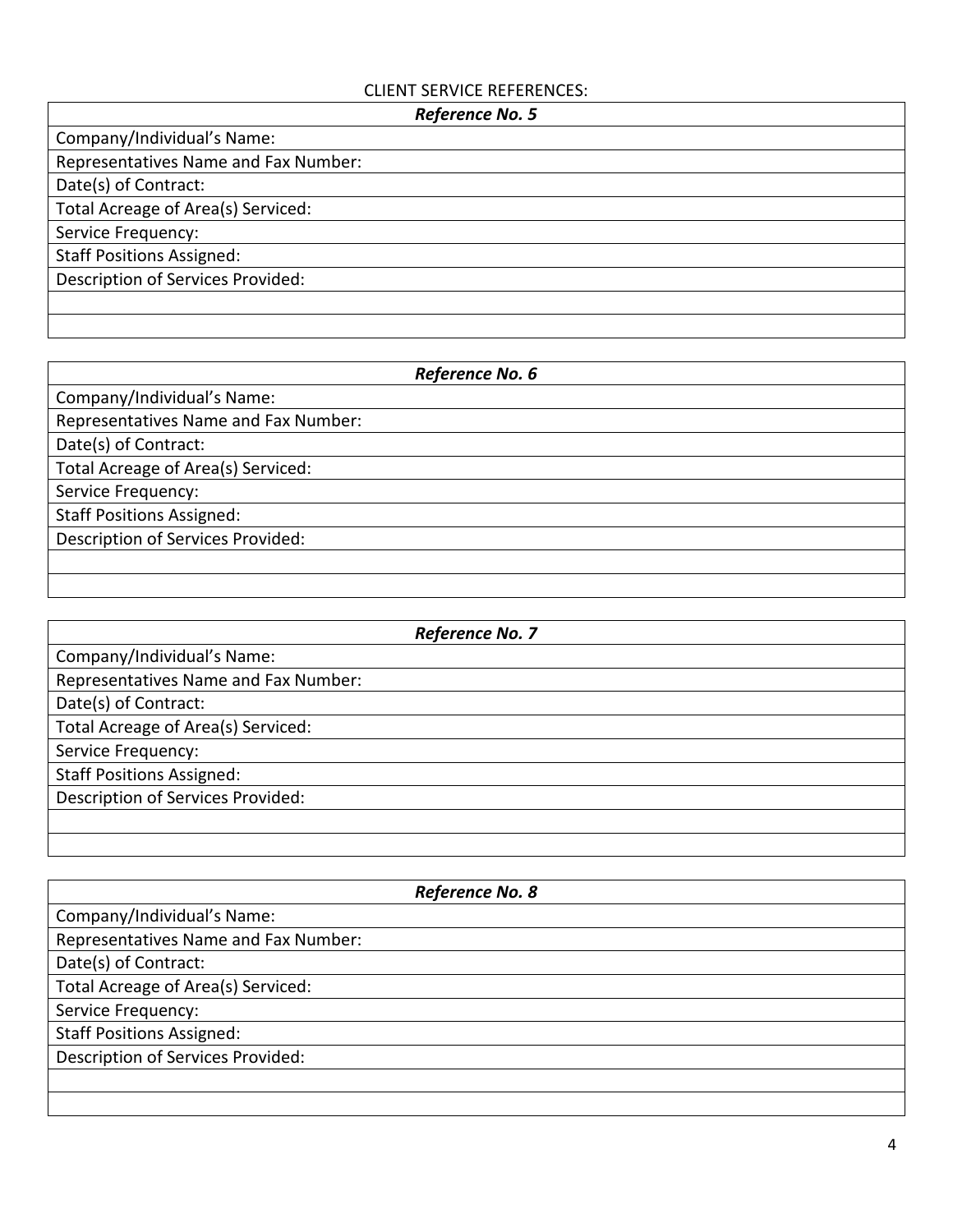## CLIENT SERVICE REFERENCES:

| Reference No. 5                      |  |  |
|--------------------------------------|--|--|
| Company/Individual's Name:           |  |  |
| Representatives Name and Fax Number: |  |  |
| Date(s) of Contract:                 |  |  |
| Total Acreage of Area(s) Serviced:   |  |  |
| Service Frequency:                   |  |  |
| <b>Staff Positions Assigned:</b>     |  |  |
| Description of Services Provided:    |  |  |
|                                      |  |  |
|                                      |  |  |

| Reference No. 6                      |  |
|--------------------------------------|--|
| Company/Individual's Name:           |  |
| Representatives Name and Fax Number: |  |
| Date(s) of Contract:                 |  |
| Total Acreage of Area(s) Serviced:   |  |
| Service Frequency:                   |  |
| <b>Staff Positions Assigned:</b>     |  |
| Description of Services Provided:    |  |
|                                      |  |
|                                      |  |

| Reference No. 7                      |  |
|--------------------------------------|--|
| Company/Individual's Name:           |  |
| Representatives Name and Fax Number: |  |
| Date(s) of Contract:                 |  |
| Total Acreage of Area(s) Serviced:   |  |
| Service Frequency:                   |  |
| <b>Staff Positions Assigned:</b>     |  |
| Description of Services Provided:    |  |
|                                      |  |
|                                      |  |

| Reference No. 8                      |  |
|--------------------------------------|--|
| Company/Individual's Name:           |  |
| Representatives Name and Fax Number: |  |
| Date(s) of Contract:                 |  |
| Total Acreage of Area(s) Serviced:   |  |
| Service Frequency:                   |  |
| <b>Staff Positions Assigned:</b>     |  |
| Description of Services Provided:    |  |
|                                      |  |
|                                      |  |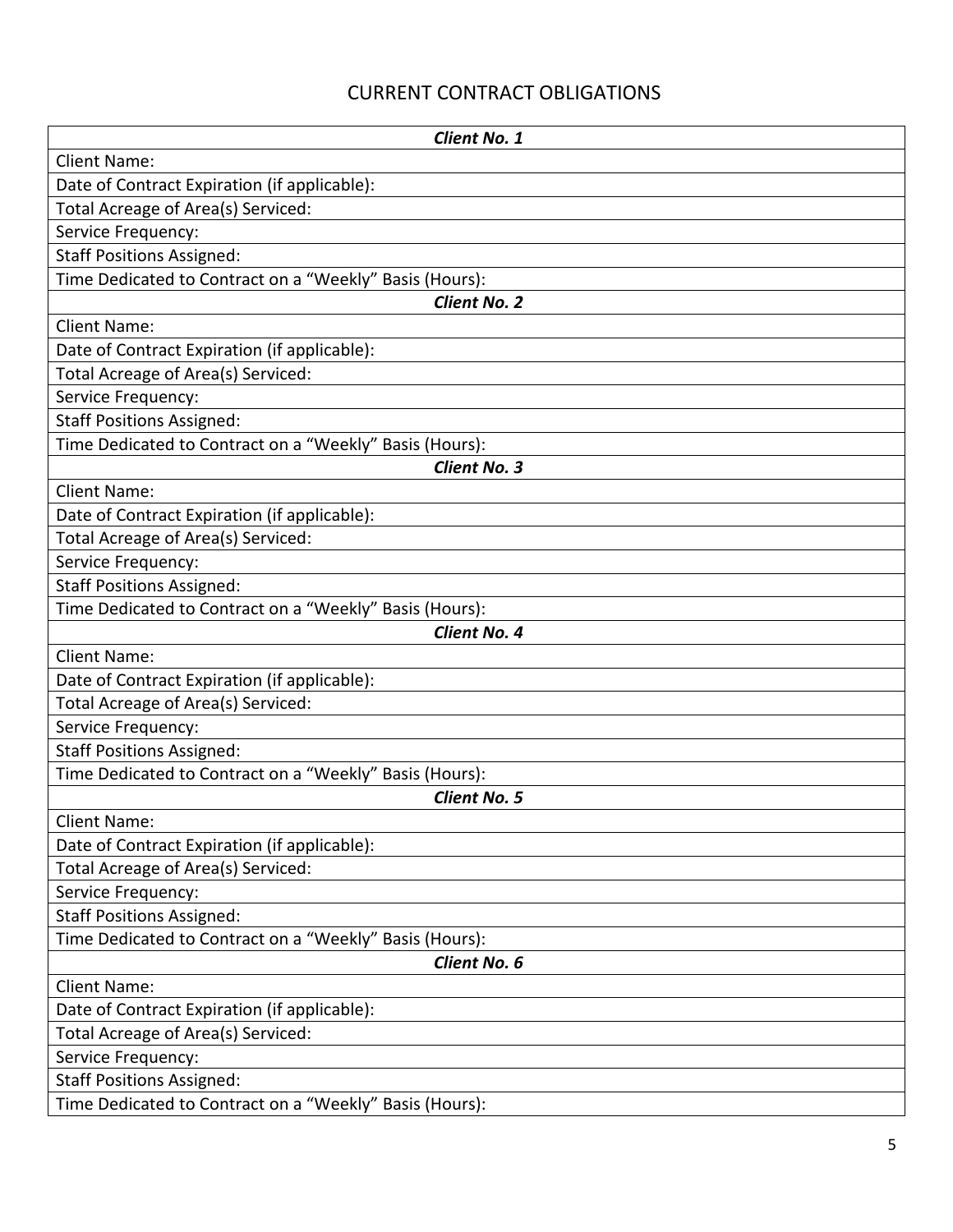# CURRENT CONTRACT OBLIGATIONS

| <b>Client No. 1</b>                                     |  |  |
|---------------------------------------------------------|--|--|
| <b>Client Name:</b>                                     |  |  |
| Date of Contract Expiration (if applicable):            |  |  |
| Total Acreage of Area(s) Serviced:                      |  |  |
| Service Frequency:                                      |  |  |
| <b>Staff Positions Assigned:</b>                        |  |  |
| Time Dedicated to Contract on a "Weekly" Basis (Hours): |  |  |
| <b>Client No. 2</b>                                     |  |  |
| <b>Client Name:</b>                                     |  |  |
| Date of Contract Expiration (if applicable):            |  |  |
| Total Acreage of Area(s) Serviced:                      |  |  |
| Service Frequency:                                      |  |  |
| <b>Staff Positions Assigned:</b>                        |  |  |
| Time Dedicated to Contract on a "Weekly" Basis (Hours): |  |  |
| <b>Client No. 3</b>                                     |  |  |
| <b>Client Name:</b>                                     |  |  |
| Date of Contract Expiration (if applicable):            |  |  |
| Total Acreage of Area(s) Serviced:                      |  |  |
| Service Frequency:                                      |  |  |
| <b>Staff Positions Assigned:</b>                        |  |  |
| Time Dedicated to Contract on a "Weekly" Basis (Hours): |  |  |
| <b>Client No. 4</b>                                     |  |  |
| <b>Client Name:</b>                                     |  |  |
| Date of Contract Expiration (if applicable):            |  |  |
| Total Acreage of Area(s) Serviced:                      |  |  |
| Service Frequency:                                      |  |  |
| <b>Staff Positions Assigned:</b>                        |  |  |
| Time Dedicated to Contract on a "Weekly" Basis (Hours): |  |  |
| <b>Client No. 5</b>                                     |  |  |
| <b>Client Name:</b>                                     |  |  |
| Date of Contract Expiration (if applicable):            |  |  |
| Total Acreage of Area(s) Serviced:                      |  |  |
| Service Frequency:                                      |  |  |
| <b>Staff Positions Assigned:</b>                        |  |  |
| Time Dedicated to Contract on a "Weekly" Basis (Hours): |  |  |
| Client No. 6                                            |  |  |
| <b>Client Name:</b>                                     |  |  |
| Date of Contract Expiration (if applicable):            |  |  |
| Total Acreage of Area(s) Serviced:                      |  |  |
| Service Frequency:                                      |  |  |
| <b>Staff Positions Assigned:</b>                        |  |  |
| Time Dedicated to Contract on a "Weekly" Basis (Hours): |  |  |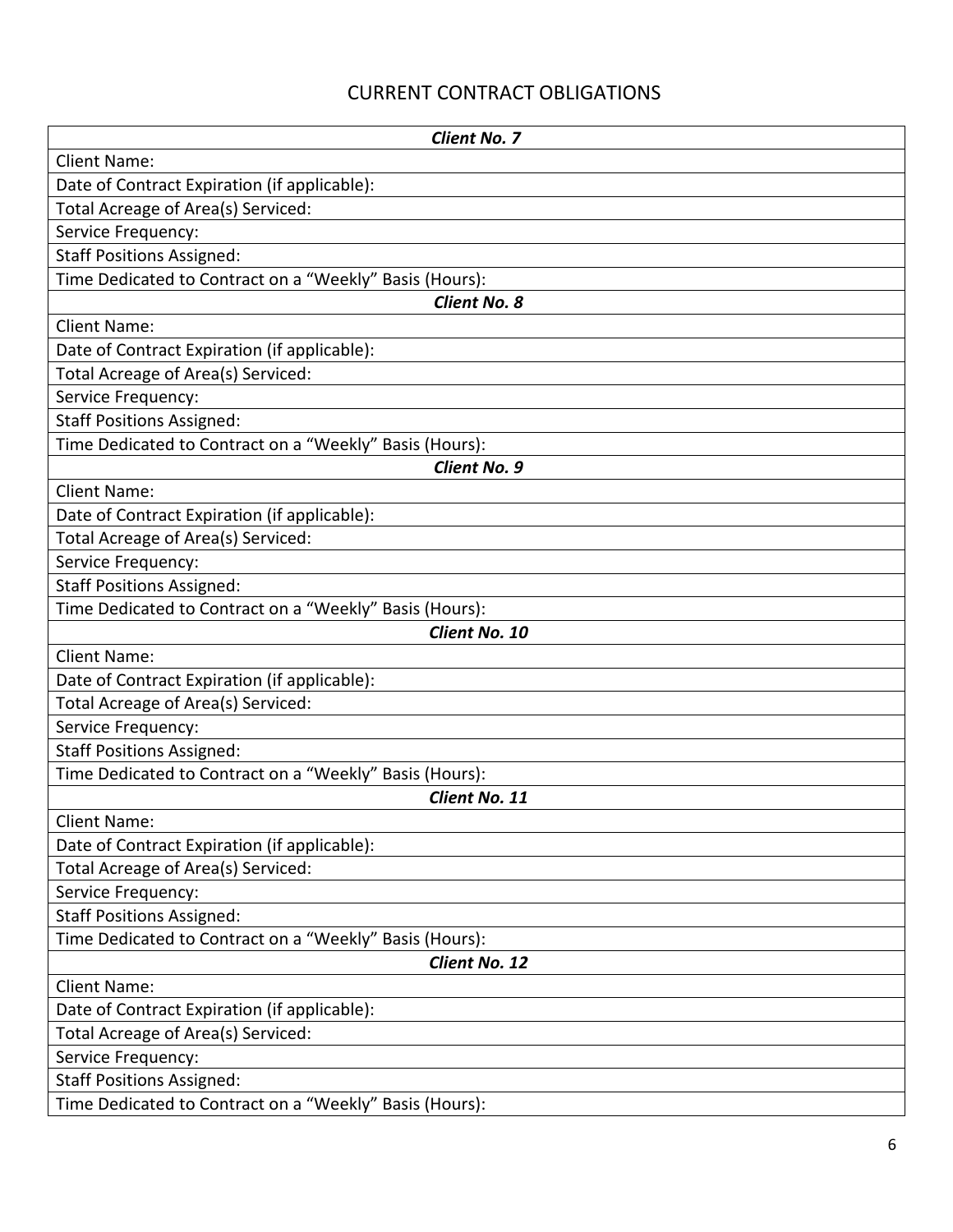# CURRENT CONTRACT OBLIGATIONS

| <b>Client No. 7</b>                                     |  |  |
|---------------------------------------------------------|--|--|
| <b>Client Name:</b>                                     |  |  |
| Date of Contract Expiration (if applicable):            |  |  |
| Total Acreage of Area(s) Serviced:                      |  |  |
| Service Frequency:                                      |  |  |
| <b>Staff Positions Assigned:</b>                        |  |  |
| Time Dedicated to Contract on a "Weekly" Basis (Hours): |  |  |
| Client No. 8                                            |  |  |
| <b>Client Name:</b>                                     |  |  |
| Date of Contract Expiration (if applicable):            |  |  |
| Total Acreage of Area(s) Serviced:                      |  |  |
| Service Frequency:                                      |  |  |
| <b>Staff Positions Assigned:</b>                        |  |  |
| Time Dedicated to Contract on a "Weekly" Basis (Hours): |  |  |
| <b>Client No. 9</b>                                     |  |  |
| <b>Client Name:</b>                                     |  |  |
| Date of Contract Expiration (if applicable):            |  |  |
| Total Acreage of Area(s) Serviced:                      |  |  |
| Service Frequency:                                      |  |  |
| <b>Staff Positions Assigned:</b>                        |  |  |
| Time Dedicated to Contract on a "Weekly" Basis (Hours): |  |  |
| Client No. 10                                           |  |  |
| <b>Client Name:</b>                                     |  |  |
| Date of Contract Expiration (if applicable):            |  |  |
| Total Acreage of Area(s) Serviced:                      |  |  |
| Service Frequency:                                      |  |  |
| <b>Staff Positions Assigned:</b>                        |  |  |
| Time Dedicated to Contract on a "Weekly" Basis (Hours): |  |  |
| Client No. 11                                           |  |  |
| <b>Client Name:</b>                                     |  |  |
| Date of Contract Expiration (if applicable):            |  |  |
| Total Acreage of Area(s) Serviced:                      |  |  |
| Service Frequency:                                      |  |  |
| <b>Staff Positions Assigned:</b>                        |  |  |
| Time Dedicated to Contract on a "Weekly" Basis (Hours): |  |  |
| Client No. 12                                           |  |  |
| <b>Client Name:</b>                                     |  |  |
| Date of Contract Expiration (if applicable):            |  |  |
| Total Acreage of Area(s) Serviced:                      |  |  |
| Service Frequency:                                      |  |  |
| <b>Staff Positions Assigned:</b>                        |  |  |
| Time Dedicated to Contract on a "Weekly" Basis (Hours): |  |  |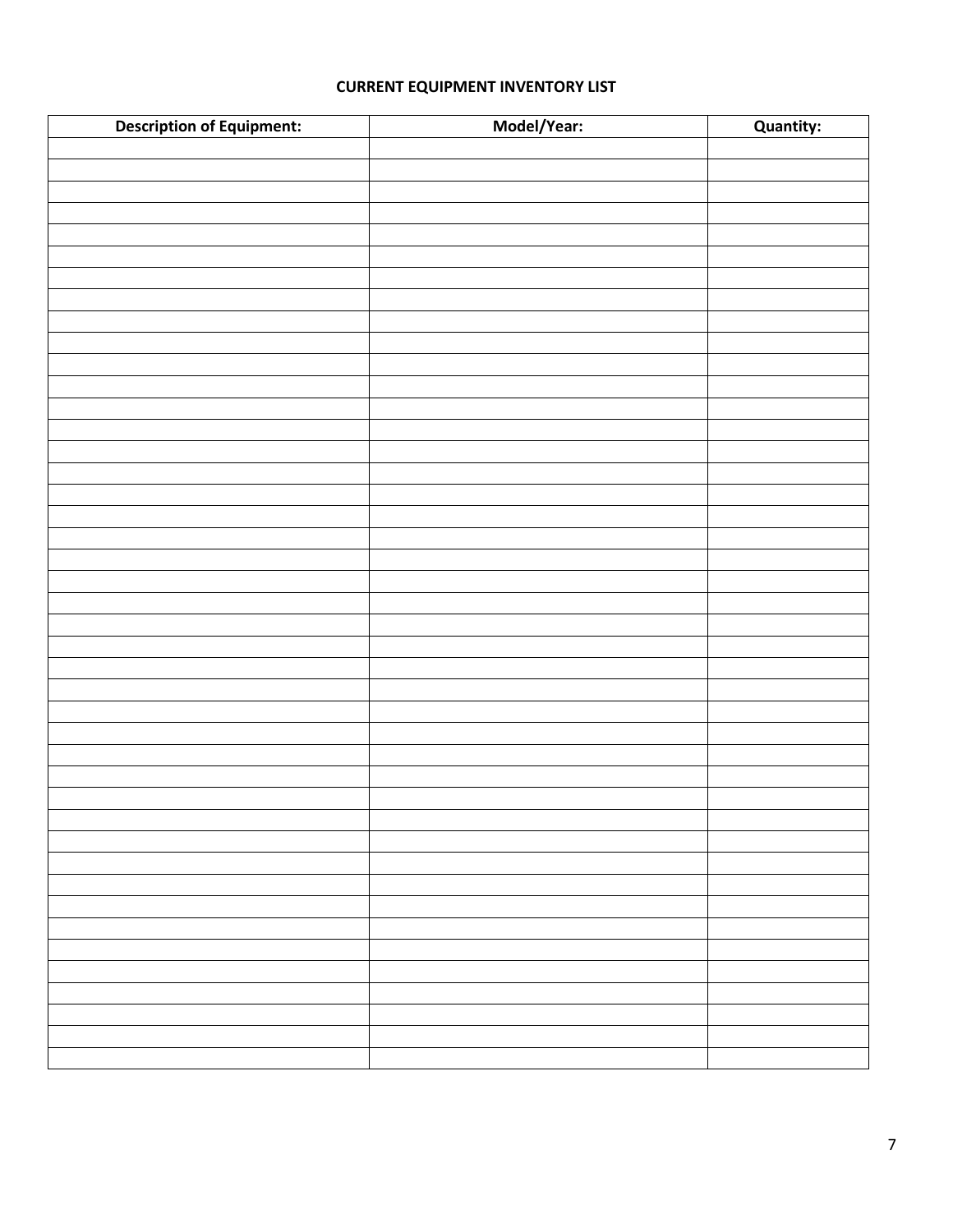### **CURRENT EQUIPMENT INVENTORY LIST**

| <b>Description of Equipment:</b> | Model/Year: | Quantity: |
|----------------------------------|-------------|-----------|
|                                  |             |           |
|                                  |             |           |
|                                  |             |           |
|                                  |             |           |
|                                  |             |           |
|                                  |             |           |
|                                  |             |           |
|                                  |             |           |
|                                  |             |           |
|                                  |             |           |
|                                  |             |           |
|                                  |             |           |
|                                  |             |           |
|                                  |             |           |
|                                  |             |           |
|                                  |             |           |
|                                  |             |           |
|                                  |             |           |
|                                  |             |           |
|                                  |             |           |
|                                  |             |           |
|                                  |             |           |
|                                  |             |           |
|                                  |             |           |
|                                  |             |           |
|                                  |             |           |
|                                  |             |           |
|                                  |             |           |
|                                  |             |           |
|                                  |             |           |
|                                  |             |           |
|                                  |             |           |
|                                  |             |           |
|                                  |             |           |
|                                  |             |           |
|                                  |             |           |
|                                  |             |           |
|                                  |             |           |
|                                  |             |           |
|                                  |             |           |
|                                  |             |           |
|                                  |             |           |